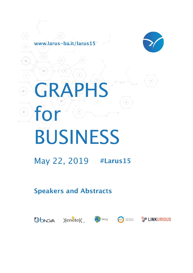

# **GRAPHS**  $\overline{\phantom{a}}$ for  $\bullet$ ) **BUSINESS**

www.larus-ba.it/larus15

## May 22, 2019 #Larus15

## **Speakers and Abstracts**



( o





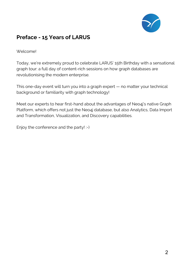

## **Preface - 15 Years of LARUS**

#### Welcome!

Today, we're extremely proud to celebrate LARUS' 15th Birthday with a sensational graph tour: a full day of content-rich sessions on how graph databases are revolutionising the modern enterprise.

This one-day event will turn you into a graph expert — no matter your technical background or familiarity with graph technology!

Meet our experts to hear first-hand about the advantages of Neo4j's native Graph Platform, which offers not just the Neo4j database, but also Analytics, Data Import and Transformation, Visualization, and Discovery capabilities.

Enjoy the conference and the party! :-)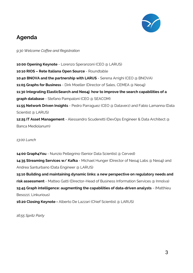

### **Agenda**

*9:30 Welcome Coffee and Registration*

**10:00 Opening Keynote** - Lorenzo Speranzoni (CEO @ LARUS) **10:10 RIOS – Rete Italiana Open Source** - Roundtable **10:40 BNOVA and the partnership with LARUS** - Serena Arrighi (CEO @ BNOVA) **11:05 Graphs for Business** - Dirk Moeller (Director of Sales, CEMEA @ Neo4j) **11:30 Integrating ElasticSearch and Neo4j: how to improve the search capabilities of a graph database** - Stefano Pampaloni (CEO @ SEACOM) **11:55 Network Driven Insights** - Pedro Parraguez (CEO @ Dataverz) and Fabio Lamanna (Data Scientist @ LARUS) **12:25 IT Asset Management** - Alessandro Scuderetti (DevOps Engineer & Data Architect @ Banca Mediolanum)

*13:00 Lunch*

**14:00 Graph4You** - Nunzio Pellegrino (Senior Data Scientist @ Cerved) **14:35 Streaming Services w/ Kafka** - Michael Hunger (Director of Neo4j Labs @ Neo4j) and Andrea Santurbano (Data Engineer @ LARUS) **15:10 Building and maintaining dynamic links: a new perspective on regulatory needs and risk assessment** - Matteo Gatti (Director-Head of Business Information Services @ Innolva) **15:45 Graph intelligence: augmenting the capabilities of data-driven analysts** - (Matthieu Besozzi, Linkurious) **16:20 Closing Keynote -** Alberto De Lazzari (Chief Scientist @ LARUS)

*16:55 Spritz Party*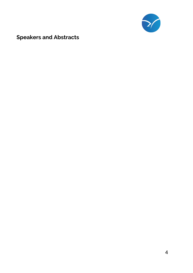

## **Speakers and Abstracts**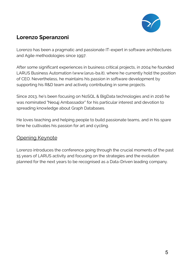

## **Lorenzo Speranzoni**

Lorenzo has been a pragmatic and passionate IT-expert in software architectures and Agile methodologies since 1997.

After some significant experiences in business critical projects, in 2004 he founded LARUS Business Automation (www.larus-ba.it), where he currently hold the position of CEO. Nevertheless, he maintains his passion in software development by supporting his R&D team and actively contributing in some projects.

Since 2013, he's been focusing on NoSQL & BigData technologies and in 2016 he was nominated "Neo4j Ambassador" for his particular interest and devotion to spreading knowledge about Graph Databases.

He loves teaching and helping people to build passionate teams, and in his spare time he cultivates his passion for art and cycling.

#### Opening Keynote

Lorenzo introduces the conference going through the crucial moments of the past 15 years of LARUS activity and focusing on the strategies and the evolution planned for the next years to be recognised as a Data-Driven leading company.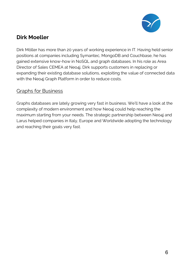

## **Dirk Moeller**

Dirk Möller has more than 20 years of working experience in IT. Having held senior positions at companies including Symantec, MongoDB and Couchbase, he has gained extensive know-how in NoSQL and graph databases. In his role as Area Director of Sales CEMEA at Neo4j, Dirk supports customers in replacing or expanding their existing database solutions, exploiting the value of connected data with the Neo4j Graph Platform in order to reduce costs.

#### Graphs for Business

Graphs databases are lately growing very fast in business. We'll have a look at the complexity of modern environment and how Neo4j could help reaching the maximum starting from your needs. The strategic partnership between Neo4j and Larus helped companies in Italy, Europe and Worldwide adopting the technology and reaching their goals very fast.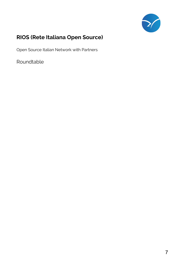

## **RIOS (Rete Italiana Open Source)**

Open Source Italian Network with Partners

Roundtable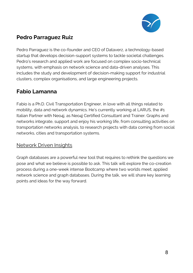

## **Pedro Parraguez Ruiz**

Pedro Parraguez is the co-founder and CEO of Dataverz, a technology-based startup that develops decision-support systems to tackle societal challenges. Pedro's research and applied work are focused on complex socio-technical systems, with emphasis on network science and data-driven analyses. This includes the study and development of decision-making support for industrial clusters, complex organisations, and large engineering projects.

## **Fabio Lamanna**

Fabio is a Ph.D. Civil Transportation Engineer, in love with all things related to mobility, data and network dynamics. He's currently working at LARUS, the #1 Italian Partner with Neo4j, as Neo4j Certified Consultant and Trainer. Graphs and networks integrate, support and enjoy his working life, from consulting activities on transportation networks analysis, to research projects with data coming from social networks, cities and transportation systems.

#### Network Driven Insights

Graph databases are a powerful new tool that requires to rethink the questions we pose and what we believe is possible to ask. This talk will explore the co-creation process during a one-week intense Bootcamp where two worlds meet; applied network science and graph databases. During the talk, we will share key learning points and ideas for the way forward.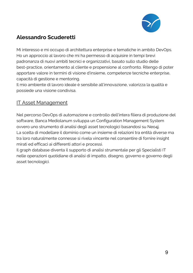

## **Alessandro Scuderetti**

Mi interesso e mi occupo di architettura enterprise e tematiche in ambito DevOps. Ho un approccio al lavoro che mi ha permesso di acquisire in tempi brevi padronanza di nuovi ambiti tecnici e organizzativi, basato sullo studio delle best-practice, orientamento al cliente e propensione al confronto. Ritengo di poter apportare valore in termini di visione d'insieme, competenze tecniche enterprise, capacità di gestione e mentoring.

Il mio ambiente di lavoro ideale è sensibile all'innovazione, valorizza la qualità e possiede una visione condivisa.

#### **IT Asset Management**

Nel percorso DevOps di automazione e controllo dell'intera filiera di produzione del software, Banca Mediolanum sviluppa un Configuration Management System ovvero uno strumento di analisi degli asset tecnologici basandosi su Neo4j. La scelta di modellare il dominio come un insieme di relazioni tra entità diverse ma tra loro naturalmente connesse si rivela vincente nel consentire di fornire insight mirati ed efficaci ai differenti attori e processi.

Il graph database diventa il supporto di analisi strumentale per gli Specialisti IT nelle operazioni quotidiane di analisi di impatto, disegno, governo e governo degli asset tecnologici.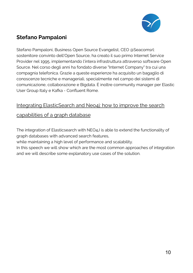

## **Stefano Pampaloni**

Stefano Pampaloni, Business Open Source Evangelist, CEO @Seacomsrl: sostenitore convinto dell'Open Source, ha creato il suo primo Internet Service Provider nel 1995, implementando l'intera infrastruttura attraverso software Open Source. Nel corso degli anni ha fondato diverse "Internet Company" tra cui una compagnia telefonica. Grazie a queste esperienze ha acquisito un bagaglio di conoscenze tecniche e manageriali, specialmente nel campo dei sistemi di comunicazione, collaborazione e Bigdata. È inoltre community manager per Elastic User Group Italy e Kafka - Confluent Rome.

#### Integrating ElasticSearch and Neo4j: how to improve the search

#### capabilities of a graph database

The integration of Elasticsearch with NEO4J is able to extend the functionality of graph databases with advanced search features,

while maintaining a high level of performance and scalability.

In this speech we will show which are the most common approaches of integration and we will describe some explanatory use cases of the solution.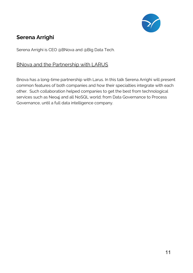

## **Serena Arrighi**

Serena Arrighi is CEO @BNova and @Big Data Tech.

#### BNova and the Partnership with LARUS

Bnova has a long-time partnership with Larus. In this talk Serena Arrighi will present common features of both companies and how their specialties integrate with each other. Such collaboration helped companies to get the best from technological services such as Neo4j and all NoSQL world; from Data Governance to Process Governance, until a full data intelligence company.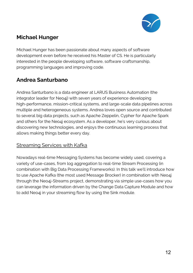

## **Michael Hunger**

Michael Hunger has been passionate about many aspects of software development even before he received his Master of CS. He is particularly interested in the people developing software, software craftsmanship, programming languages and improving code.

## **Andrea Santurbano**

Andrea Santurbano is a data engineer at LARUS Business Automation (the integrator leader for Neo4j) with seven years of experience developing high-performance, mission-critical systems, and large-scale data pipelines across multiple and heterogeneous systems. Andrea loves open source and contributed to several big data projects, such as Apache Zeppelin, Cypher for Apache Spark and others for the Neo4j ecosystem. As a developer, he's very curious about discovering new technologies, and enjoys the continuous learning process that allows making things better every day.

#### Streaming Services with Kafka

Nowadays real-time Messaging Systems has become widely used, covering a variety of use-cases, from log aggregation to real-time Stream Processing (in combination with Big Data Processing Frameworks). In this talk we'll introduce how to use Apache Kafka (the most used Message Brocker) in combination with Neo4j through the Neo4j-Streams project, demonstrating via simple use-cases how you can leverage the information driven by the Change Data Capture Module and how to add Neo4j in your streaming flow by using the Sink module.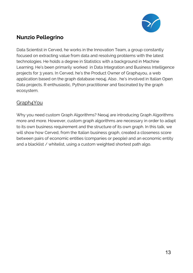

## **Nunzio Pellegrino**

Data Scientist in Cerved, he works in the Innovation Team, a group constantly focused on extracting value from data and resolving problems with the latest technologies. He holds a degree in Statistics with a background in Machine Learning. He's been primarily worked in Data Integration and Business Intelligence projects for 3 years. In Cerved, he's the Product Owner of Graph4you, a web application based on the graph database neo4j. Also , he's involved in Italian Open Data projects. R enthusiastic, Python practitioner and fascinated by the graph ecosystem.

#### Graph4You

Why you need custom Graph Algorithms? Neo4j are introducing Graph Algorithms more and more. However, custom graph algorithms are necessary in order to adapt to its own business requirement and the structure of its own graph. In this talk, we will show how Cerved, from the Italian business graph, created a closeness score between pairs of economic entities (companies or people) and an economic entity and a blacklist / whitelist, using a custom weighted shortest path algo.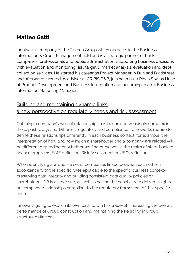

## **Matteo Gatti**

Innolva is a company of the Tinexta Group which operates in the Business Information & Credit Management field and is a strategic partner of banks, companies, professionals and public administration, supporting business decisions with evaluation and monitoring risk, target & market analysis, evaluation and debt collection services. He started his career as Project Manager in Dun and Bradstreet and afterwards worked as advisor at CRIBIS D&B, joining in 2010 Ribes SpA as Head of Product Development and Business Information and becoming in 2014 Business Information Marketing Manager.

#### Building and maintaining dynamic links: a new perspective on regulatory needs and risk assessment

Outlining a company's web of relationships has become increasingly complex in these past few years. Different regulatory and compliance frameworks require to define these relationships differently in each business context; for example, the interpretation of how and how much a shareholder and a company are related will be different depending on whether we find ourselves in the realm of state-backed finance programs, SME definition, Risk Assessment or UBO definition.

When identifying a Group – a set of companies linked between each other in accordance with the specific rules applicable to the specific business contextpreserving data integrity and building consistent data quality policies on shareholders' DB is a key issue, as well as having the capability to deliver insights on company relationships compliant to the regulatory framework of that specific context

Innolva is going to explain its own path to win this trade-off, increasing the overall performance of Group construction and maintaining the flexibility in Group structure definition.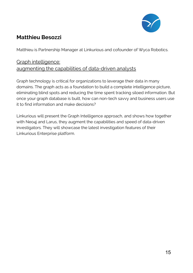

## **Matthieu Besozzi**

Matthieu is Partnership Manager at Linkurious and cofounder of Wyca Robotics.

#### Graph intelligence: augmenting the capabilities of data-driven analysts

Graph technology is critical for organizations to leverage their data in many domains. The graph acts as a foundation to build a complete intelligence picture, eliminating blind spots and reducing the time spent tracking siloed information. But once your graph database is built, how can non-tech savvy and business users use it to find information and make decisions?

Linkurious will present the Graph Intelligence approach, and shows how together with Neo4j and Larus, they augment the capabilities and speed of data-driven investigators. They will showcase the latest investigation features of their Linkurious Enterprise platform.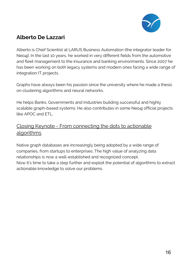

## **Alberto De Lazzari**

Alberto is Chief Scientist at LARUS Business Automation (the integrator leader for Neo4j). In the last 10 years, he worked in very different fields from the automotive and fleet management to the insurance and banking environments. Since 2007 he has been working on both legacy systems and modern ones facing a wide range of integration IT projects.

Graphs have always been his passion since the university where he made a thesis on clustering algorithms and neural networks.

He helps Banks, Governments and Industries building successful and highly scalable graph-based systems. He also contributes in some Neo4j official projects like APOC and FTL.

#### Closing Keynote - From connecting the dots to actionable algorithms

Native graph databases are increasingly being adopted by a wide range of companies, from startups to enterprises. The high value of analyzing data relationships is now a well-established and recognized concept. Now it's time to take a step further and exploit the potential of algorithms to extract actionable knowledge to solve our problems.